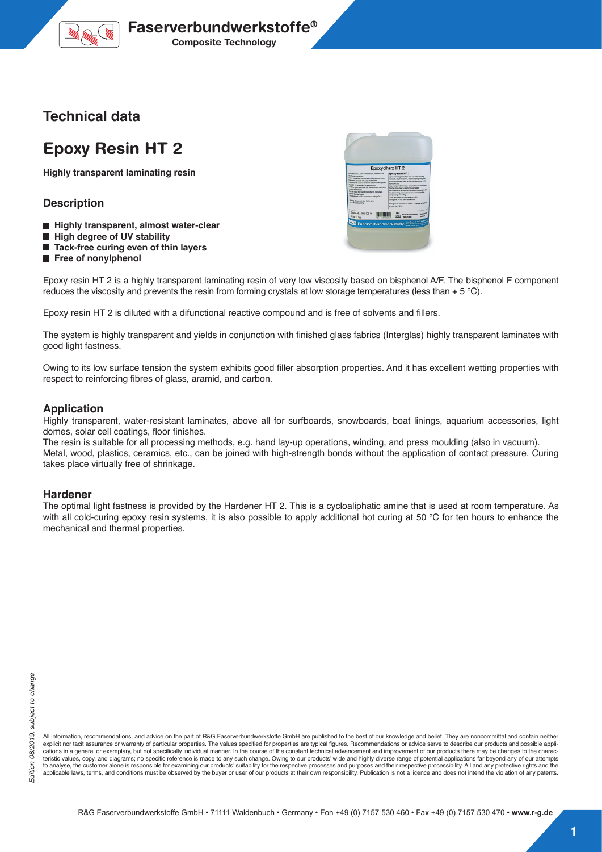

### **Technical data**

# **Epoxy Resin HT 2**

**Highly transparent laminating resin**

### **Description**

- **Highly transparent, almost water-clear**
- $\blacksquare$  High degree of UV stability
- Tack-free curing even of thin layers
- **Free of nonylphenol**



Epoxy resin HT 2 is a highly transparent laminating resin of very low viscosity based on bisphenol A/F. The bisphenol F component reduces the viscosity and prevents the resin from forming crystals at low storage temperatures (less than  $+ 5 \degree C$ ).

Epoxy resin HT 2 is diluted with a difunctional reactive compound and is free of solvents and fillers.

The system is highly transparent and yields in conjunction with finished glass fabrics (Interglas) highly transparent laminates with good light fastness.

Owing to its low surface tension the system exhibits good filler absorption properties. And it has excellent wetting properties with respect to reinforcing fibres of glass, aramid, and carbon.

#### **Application**

Highly transparent, water-resistant laminates, above all for surfboards, snowboards, boat linings, aquarium accessories, light domes, solar cell coatings, floor finishes.

The resin is suitable for all processing methods, e.g. hand lay-up operations, winding, and press moulding (also in vacuum). Metal, wood, plastics, ceramics, etc., can be joined with high-strength bonds without the application of contact pressure. Curing takes place virtually free of shrinkage.

#### **Hardener**

The optimal light fastness is provided by the Hardener HT 2. This is a cycloaliphatic amine that is used at room temperature. As with all cold-curing epoxy resin systems, it is also possible to apply additional hot curing at 50 °C for ten hours to enhance the mechanical and thermal properties.

All information, recommendations, and advice on the part of R&G Faserverbundwerkstoffe GmbH are published to the best of our knowledge and belief. They are noncommittal and contain neither explicit nor tacit assurance or warranty of particular properties. The values specified for properties are typical figures. Recommendations or advice serve to describe our products and possible applications in a general or exemplary, but not specifically individual manner. In the course of the constant technical advancement and improvement of our products there may be changes to the charac-<br>teristic values, copy, and to analyse, the customer alone is responsible for examining our products' suitability for the respective processes and purposes and their respective processibility. All and any protective rights and the applicable laws, terms, and conditions must be observed by the buyer or user of our products at their own responsibility. Publication is not a licence and does not intend the violation of any patents.